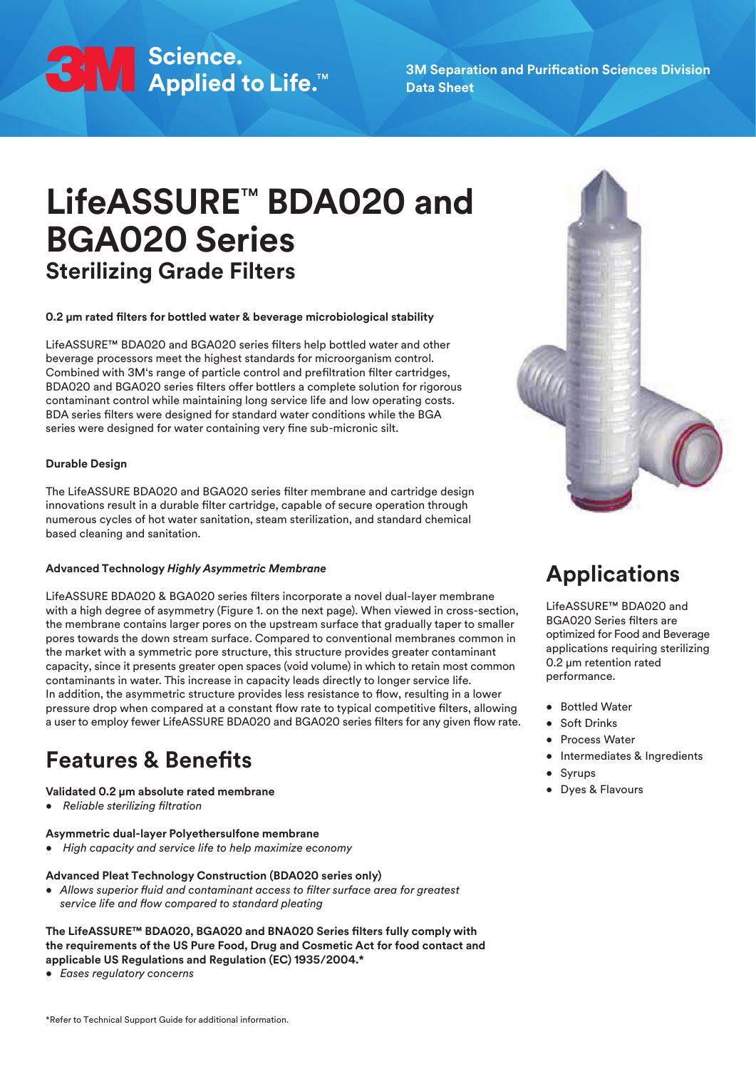SM Science.<br>SM Applied to Life.™

**3M Separation and Purification Sciences Division Data Sheet**

# **LifeASSURE**™ **BDA020 and BGA020 Series Sterilizing Grade Filters**

### **0.2 μm rated filters for bottled water & beverage microbiological stability**

LifeASSURE™ BDA020 and BGA020 series filters help bottled water and other beverage processors meet the highest standards for microorganism control. Combined with 3M's range of particle control and prefiltration filter cartridges, BDA020 and BGA020 series filters offer bottlers a complete solution for rigorous contaminant control while maintaining long service life and low operating costs. BDA series filters were designed for standard water conditions while the BGA series were designed for water containing very fine sub-micronic silt.

### **Durable Design**

The LifeASSURE BDA020 and BGA020 series filter membrane and cartridge design innovations result in a durable filter cartridge, capable of secure operation through numerous cycles of hot water sanitation, steam sterilization, and standard chemical based cleaning and sanitation.

### **Advanced Technology** *Highly Asymmetric Membrane*

LifeASSURE BDA020 & BGA020 series filters incorporate a novel dual-layer membrane with a high degree of asymmetry (Figure 1. on the next page). When viewed in cross-section, the membrane contains larger pores on the upstream surface that gradually taper to smaller pores towards the down stream surface. Compared to conventional membranes common in the market with a symmetric pore structure, this structure provides greater contaminant capacity, since it presents greater open spaces (void volume) in which to retain most common contaminants in water. This increase in capacity leads directly to longer service life. In addition, the asymmetric structure provides less resistance to flow, resulting in a lower pressure drop when compared at a constant flow rate to typical competitive filters, allowing a user to employ fewer LifeASSURE BDA020 and BGA020 series filters for any given flow rate.

# **Features & Benefits**

### **Validated 0.2 μm absolute rated membrane**

*• Reliable sterilizing filtration*

### **Asymmetric dual-layer Polyethersulfone membrane**

*• High capacity and service life to help maximize economy*

#### **Advanced Pleat Technology Construction (BDA020 series only)**

*• Allows superior fluid and contaminant access to filter surface area for greatest service life and flow compared to standard pleating*

#### **The LifeASSURE™ BDA020, BGA020 and BNA020 Series filters fully comply with the requirements of the US Pure Food, Drug and Cosmetic Act for food contact and applicable US Regulations and Regulation (EC) 1935/2004.\***

*• Eases regulatory concerns*



# **Applications**

LifeASSURF™ BDA020 and BGA020 Series filters are optimized for Food and Beverage applications requiring sterilizing 0.2 μm retention rated performance.

- Bottled Water
- Soft Drinks
- **•** Process Water
- Intermediates & Ingredients
- Syrups
- Dyes & Flavours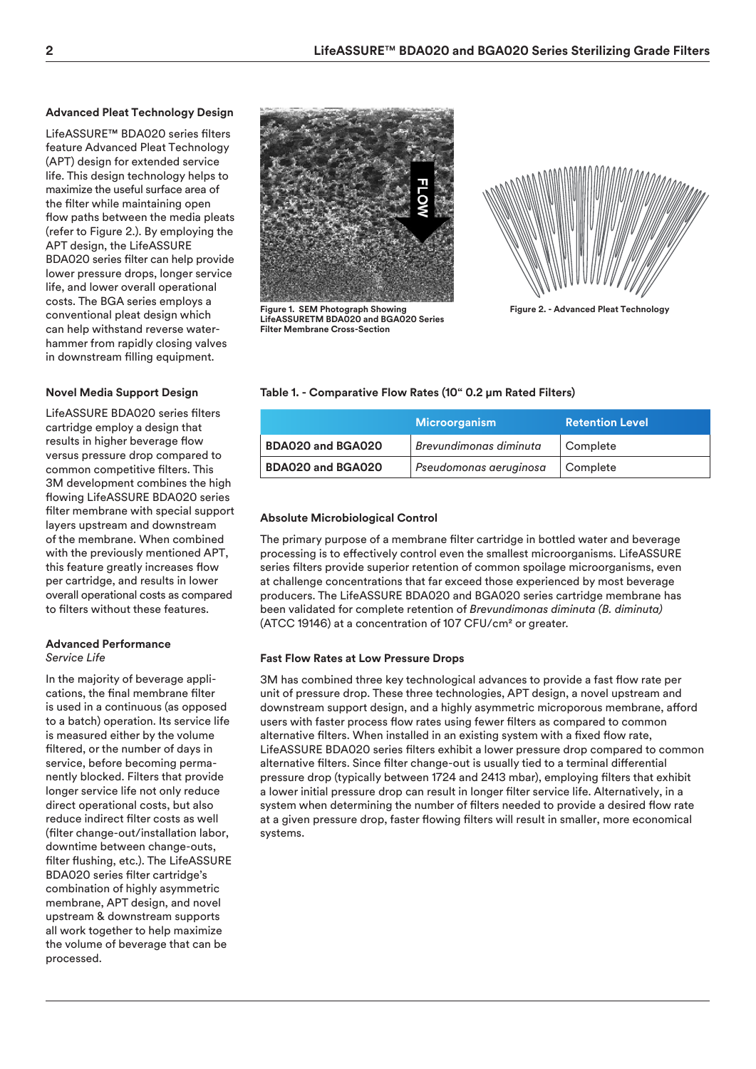### **Advanced Pleat Technology Design**

LifeASSURE™ BDA020 series filters feature Advanced Pleat Technology (APT) design for extended service life. This design technology helps to maximize the useful surface area of the filter while maintaining open flow paths between the media pleats (refer to Figure 2.). By employing the APT design, the LifeASSURE BDA020 series filter can help provide lower pressure drops, longer service life, and lower overall operational costs. The BGA series employs a conventional pleat design which can help withstand reverse waterhammer from rapidly closing valves in downstream filling equipment.

## **Novel Media Support Design**

LifeASSURE BDA020 series filters cartridge employ a design that results in higher beverage flow versus pressure drop compared to common competitive filters. This 3M development combines the high flowing LifeASSURE BDA020 series filter membrane with special support layers upstream and downstream of the membrane. When combined with the previously mentioned APT, this feature greatly increases flow per cartridge, and results in lower overall operational costs as compared to filters without these features.

#### **Advanced Performance** *Service Life*

In the majority of beverage applications, the final membrane filter is used in a continuous (as opposed to a batch) operation. Its service life is measured either by the volume filtered, or the number of days in service, before becoming permanently blocked. Filters that provide longer service life not only reduce direct operational costs, but also reduce indirect filter costs as well (filter change-out/installation labor, downtime between change-outs, filter flushing, etc.). The LifeASSURE BDA020 series filter cartridge's combination of highly asymmetric membrane, APT design, and novel upstream & downstream supports all work together to help maximize the volume of beverage that can be processed.



**Figure 1. SEM Photograph Showing LifeASSURETM BDA020 and BGA020 Series Filter Membrane Cross-Section**



**Figure 2. - Advanced Pleat Technology**

### **Table 1. - Comparative Flow Rates (10" 0.2 μm Rated Filters)**

|                   | <b>Microorganism</b>          | <b>Retention Level</b> |
|-------------------|-------------------------------|------------------------|
| BDA020 and BGA020 | <b>Brevundimonas diminuta</b> | Complete               |
| BDA020 and BGA020 | Pseudomonas aeruginosa        | Complete               |

## **Absolute Microbiological Control**

The primary purpose of a membrane filter cartridge in bottled water and beverage processing is to effectively control even the smallest microorganisms. LifeASSURE series filters provide superior retention of common spoilage microorganisms, even at challenge concentrations that far exceed those experienced by most beverage producers. The LifeASSURE BDA020 and BGA020 series cartridge membrane has been validated for complete retention of *Brevundimonas diminuta (B. diminuta)* (ATCC 19146) at a concentration of 107 CFU/cm2 or greater.

### **Fast Flow Rates at Low Pressure Drops**

3M has combined three key technological advances to provide a fast flow rate per unit of pressure drop. These three technologies, APT design, a novel upstream and downstream support design, and a highly asymmetric microporous membrane, afford users with faster process flow rates using fewer filters as compared to common alternative filters. When installed in an existing system with a fixed flow rate, LifeASSURE BDA020 series filters exhibit a lower pressure drop compared to common alternative filters. Since filter change-out is usually tied to a terminal differential pressure drop (typically between 1724 and 2413 mbar), employing filters that exhibit a lower initial pressure drop can result in longer filter service life. Alternatively, in a system when determining the number of filters needed to provide a desired flow rate at a given pressure drop, faster flowing filters will result in smaller, more economical systems.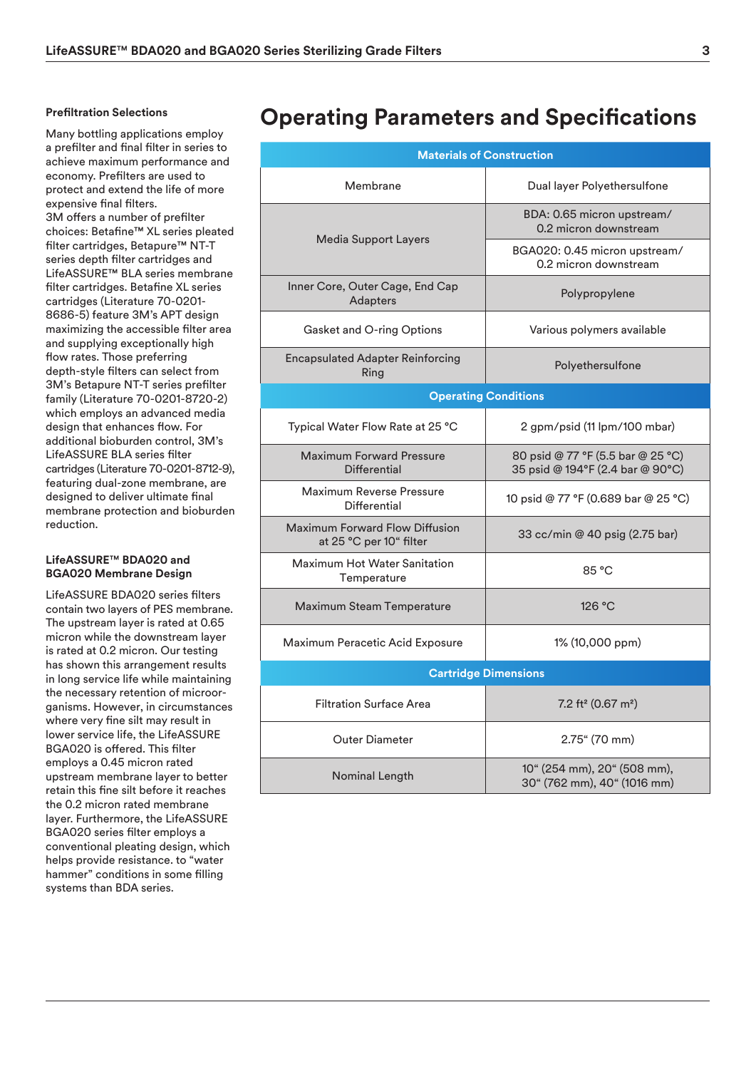#### **Prefiltration Selections**

Many bottling applications employ a prefilter and final filter in series to achieve maximum performance and economy. Prefilters are used to protect and extend the life of more expensive final filters. 3M offers a number of prefilter choices: Betafine™ XL series pleated filter cartridges, Betapure™ NT-T series depth filter cartridges and LifeASSURE™ BLA series membrane filter cartridges. Betafine XL series cartridges (Literature 70-0201- 8686-5) feature 3M's APT design maximizing the accessible filter area and supplying exceptionally high flow rates. Those preferring depth-style filters can select from 3M's Betapure NT-T series prefilter family (Literature 70-0201-8720-2) which employs an advanced media design that enhances flow. For additional bioburden control, 3M's LifeASSURE BLA series filter cartridges (Literature 70-0201-8712-9), featuring dual-zone membrane, are designed to deliver ultimate final membrane protection and bioburden reduction.

### **LifeASSURE**™ **BDA020 and BGA020 Membrane Design**

LifeASSURE BDA020 series filters contain two layers of PES membrane. The upstream layer is rated at 0.65 micron while the downstream layer is rated at 0.2 micron. Our testing has shown this arrangement results in long service life while maintaining the necessary retention of microorganisms. However, in circumstances where very fine silt may result in lower service life, the LifeASSURE BGA020 is offered. This filter employs a 0.45 micron rated upstream membrane layer to better retain this fine silt before it reaches the 0.2 micron rated membrane layer. Furthermore, the LifeASSURE BGA020 series filter employs a conventional pleating design, which helps provide resistance. to "water hammer" conditions in some filling systems than BDA series.

# **Operating Parameters and Specifications**

| <b>Materials of Construction</b>                                 |                                                                       |  |  |  |  |  |
|------------------------------------------------------------------|-----------------------------------------------------------------------|--|--|--|--|--|
| Membrane                                                         | Dual layer Polyethersulfone                                           |  |  |  |  |  |
|                                                                  | BDA: 0.65 micron upstream/<br>0.2 micron downstream                   |  |  |  |  |  |
| Media Support Layers                                             | BGA020: 0.45 micron upstream/<br>0.2 micron downstream                |  |  |  |  |  |
| Inner Core, Outer Cage, End Cap<br>Adapters                      | Polypropylene                                                         |  |  |  |  |  |
| Gasket and O-ring Options                                        | Various polymers available                                            |  |  |  |  |  |
| <b>Encapsulated Adapter Reinforcing</b><br>Ring                  | Polyethersulfone                                                      |  |  |  |  |  |
| <b>Operating Conditions</b>                                      |                                                                       |  |  |  |  |  |
| Typical Water Flow Rate at 25 °C                                 | 2 gpm/psid (11 lpm/100 mbar)                                          |  |  |  |  |  |
| <b>Maximum Forward Pressure</b><br>Differential                  | 80 psid @ 77 °F (5.5 bar @ 25 °C)<br>35 psid @ 194°F (2.4 bar @ 90°C) |  |  |  |  |  |
| <b>Maximum Reverse Pressure</b><br>Differential                  | 10 psid @ 77 °F (0.689 bar @ 25 °C)                                   |  |  |  |  |  |
| <b>Maximum Forward Flow Diffusion</b><br>at 25 °C per 10" filter | 33 cc/min @ 40 psig (2.75 bar)                                        |  |  |  |  |  |
| <b>Maximum Hot Water Sanitation</b><br>Temperature               | 85 °C                                                                 |  |  |  |  |  |
| Maximum Steam Temperature                                        | 126 °C                                                                |  |  |  |  |  |
| Maximum Peracetic Acid Exposure                                  | 1% (10,000 ppm)                                                       |  |  |  |  |  |
| <b>Cartridge Dimensions</b>                                      |                                                                       |  |  |  |  |  |
| <b>Filtration Surface Area</b>                                   | 7.2 ft <sup>2</sup> (0.67 m <sup>2</sup> )                            |  |  |  |  |  |
| <b>Outer Diameter</b>                                            | 2.75" (70 mm)                                                         |  |  |  |  |  |
| Nominal Length                                                   | 10" (254 mm), 20" (508 mm),<br>30" (762 mm), 40" (1016 mm)            |  |  |  |  |  |